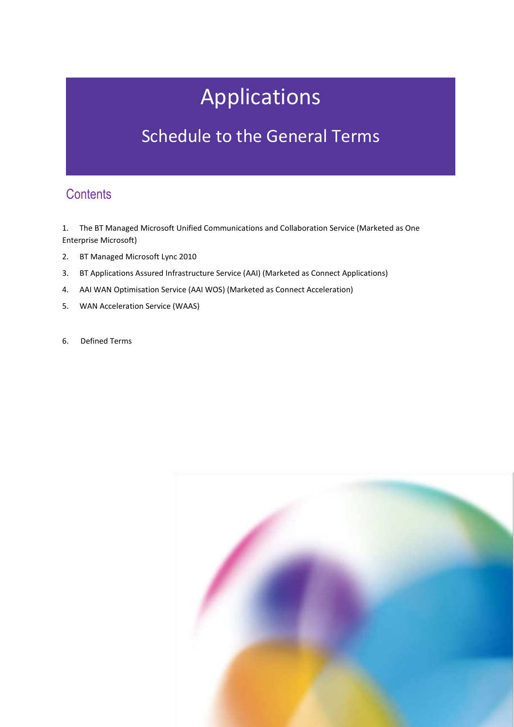# Applications

## Schedule to the General Terms

### **Contents**

1. The BT Managed Microsoft Unified Communications and Collaboration Service (Marketed as One Enterprise Microsoft)

- 2. BT Managed Microsoft Lync 2010
- 3. BT Applications Assured Infrastructure Service (AAI) (Marketed as Connect Applications)
- 4. AAI WAN Optimisation Service (AAI WOS) (Marketed as Connect Acceleration)
- 5. WAN Acceleration Service (WAAS)
- 6. Defined Terms

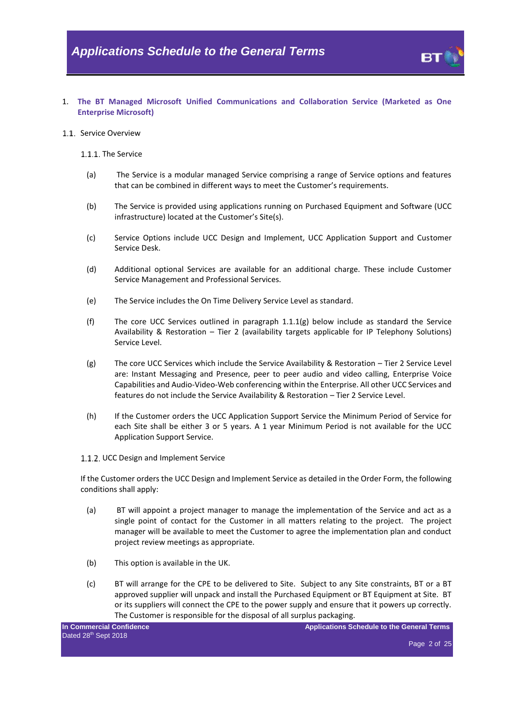1. **The BT Managed Microsoft Unified Communications and Collaboration Service (Marketed as One Enterprise Microsoft)** 

#### 1.1. Service Overview

#### 1.1.1. The Service

- (a) The Service is a modular managed Service comprising a range of Service options and features that can be combined in different ways to meet the Customer's requirements.
- (b) The Service is provided using applications running on Purchased Equipment and Software (UCC infrastructure) located at the Customer's Site(s).
- (c) Service Options include UCC Design and Implement, UCC Application Support and Customer Service Desk.
- (d) Additional optional Services are available for an additional charge. These include Customer Service Management and Professional Services.
- (e) The Service includes the On Time Delivery Service Level as standard.
- (f) The core UCC Services outlined in paragraph  $1.1.1(g)$  below include as standard the Service Availability & Restoration – Tier 2 (availability targets applicable for IP Telephony Solutions) Service Level.
- <span id="page-1-0"></span>(g) The core UCC Services which include the Service Availability & Restoration – Tier 2 Service Level are: Instant Messaging and Presence, peer to peer audio and video calling, Enterprise Voice Capabilities and Audio-Video-Web conferencing within the Enterprise. All other UCC Services and features do not include the Service Availability & Restoration – Tier 2 Service Level.
- (h) If the Customer orders the UCC Application Support Service the Minimum Period of Service for each Site shall be either 3 or 5 years. A 1 year Minimum Period is not available for the UCC Application Support Service.
- 1.1.2. UCC Design and Implement Service

If the Customer orders the UCC Design and Implement Service as detailed in the Order Form, the following conditions shall apply:

- (a) BT will appoint a project manager to manage the implementation of the Service and act as a single point of contact for the Customer in all matters relating to the project. The project manager will be available to meet the Customer to agree the implementation plan and conduct project review meetings as appropriate.
- (b) This option is available in the UK.
- (c) BT will arrange for the CPE to be delivered to Site. Subject to any Site constraints, BT or a BT approved supplier will unpack and install the Purchased Equipment or BT Equipment at Site. BT or its suppliers will connect the CPE to the power supply and ensure that it powers up correctly. The Customer is responsible for the disposal of all surplus packaging.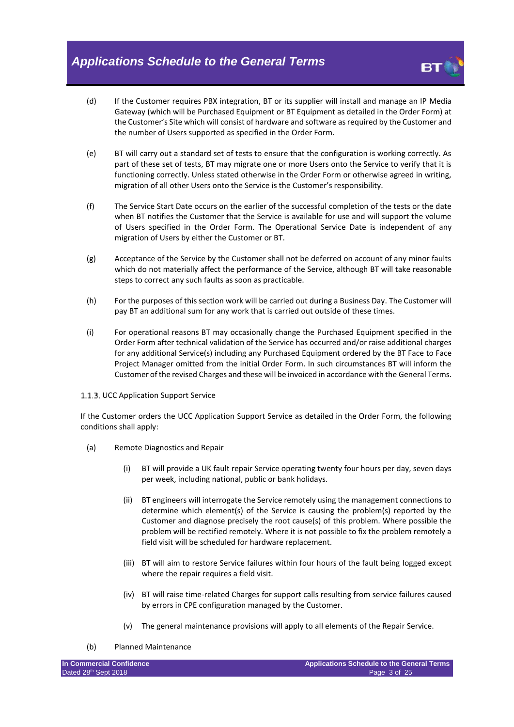

- (d) If the Customer requires PBX integration, BT or its supplier will install and manage an IP Media Gateway (which will be Purchased Equipment or BT Equipment as detailed in the Order Form) at the Customer's Site which will consist of hardware and software as required by the Customer and the number of Users supported as specified in the Order Form.
- (e) BT will carry out a standard set of tests to ensure that the configuration is working correctly. As part of these set of tests, BT may migrate one or more Users onto the Service to verify that it is functioning correctly. Unless stated otherwise in the Order Form or otherwise agreed in writing, migration of all other Users onto the Service is the Customer's responsibility.
- (f) The Service Start Date occurs on the earlier of the successful completion of the tests or the date when BT notifies the Customer that the Service is available for use and will support the volume of Users specified in the Order Form. The Operational Service Date is independent of any migration of Users by either the Customer or BT.
- (g) Acceptance of the Service by the Customer shall not be deferred on account of any minor faults which do not materially affect the performance of the Service, although BT will take reasonable steps to correct any such faults as soon as practicable.
- (h) For the purposes of this section work will be carried out during a Business Day. The Customer will pay BT an additional sum for any work that is carried out outside of these times.
- (i) For operational reasons BT may occasionally change the Purchased Equipment specified in the Order Form after technical validation of the Service has occurred and/or raise additional charges for any additional Service(s) including any Purchased Equipment ordered by the BT Face to Face Project Manager omitted from the initial Order Form. In such circumstances BT will inform the Customer of the revised Charges and these will be invoiced in accordance with the General Terms.

#### 1.1.3. UCC Application Support Service

If the Customer orders the UCC Application Support Service as detailed in the Order Form, the following conditions shall apply:

- (a) Remote Diagnostics and Repair
	- (i) BT will provide a UK fault repair Service operating twenty four hours per day, seven days per week, including national, public or bank holidays.
	- (ii) BT engineers will interrogate the Service remotely using the management connections to determine which element(s) of the Service is causing the problem(s) reported by the Customer and diagnose precisely the root cause(s) of this problem. Where possible the problem will be rectified remotely. Where it is not possible to fix the problem remotely a field visit will be scheduled for hardware replacement.
	- (iii) BT will aim to restore Service failures within four hours of the fault being logged except where the repair requires a field visit.
	- (iv) BT will raise time-related Charges for support calls resulting from service failures caused by errors in CPE configuration managed by the Customer.
	- (v) The general maintenance provisions will apply to all elements of the Repair Service.

<sup>(</sup>b) Planned Maintenance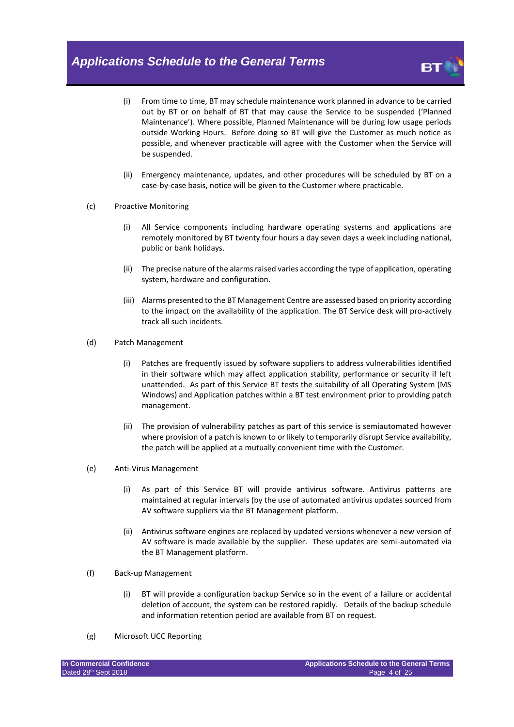

- (i) From time to time, BT may schedule maintenance work planned in advance to be carried out by BT or on behalf of BT that may cause the Service to be suspended ('Planned Maintenance'). Where possible, Planned Maintenance will be during low usage periods outside Working Hours. Before doing so BT will give the Customer as much notice as possible, and whenever practicable will agree with the Customer when the Service will be suspended.
- (ii) Emergency maintenance, updates, and other procedures will be scheduled by BT on a case-by-case basis, notice will be given to the Customer where practicable.
- (c) Proactive Monitoring
	- (i) All Service components including hardware operating systems and applications are remotely monitored by BT twenty four hours a day seven days a week including national, public or bank holidays.
	- (ii) The precise nature of the alarms raised varies according the type of application, operating system, hardware and configuration.
	- (iii) Alarms presented to the BT Management Centre are assessed based on priority according to the impact on the availability of the application. The BT Service desk will pro-actively track all such incidents.
- (d) Patch Management
	- (i) Patches are frequently issued by software suppliers to address vulnerabilities identified in their software which may affect application stability, performance or security if left unattended. As part of this Service BT tests the suitability of all Operating System (MS Windows) and Application patches within a BT test environment prior to providing patch management.
	- (ii) The provision of vulnerability patches as part of this service is semiautomated however where provision of a patch is known to or likely to temporarily disrupt Service availability, the patch will be applied at a mutually convenient time with the Customer.
- (e) Anti-Virus Management
	- (i) As part of this Service BT will provide antivirus software. Antivirus patterns are maintained at regular intervals (by the use of automated antivirus updates sourced from AV software suppliers via the BT Management platform.
	- (ii) Antivirus software engines are replaced by updated versions whenever a new version of AV software is made available by the supplier. These updates are semi-automated via the BT Management platform.
- (f) Back-up Management
	- (i) BT will provide a configuration backup Service so in the event of a failure or accidental deletion of account, the system can be restored rapidly. Details of the backup schedule and information retention period are available from BT on request.
- (g) Microsoft UCC Reporting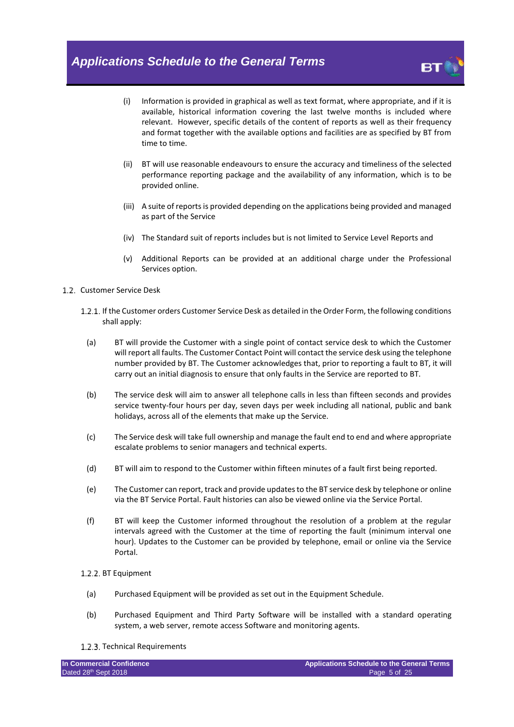

- (i) Information is provided in graphical as well as text format, where appropriate, and if it is available, historical information covering the last twelve months is included where relevant. However, specific details of the content of reports as well as their frequency and format together with the available options and facilities are as specified by BT from time to time.
- (ii) BT will use reasonable endeavours to ensure the accuracy and timeliness of the selected performance reporting package and the availability of any information, which is to be provided online.
- (iii) A suite of reports is provided depending on the applications being provided and managed as part of the Service
- (iv) The Standard suit of reports includes but is not limited to Service Level Reports and
- (v) Additional Reports can be provided at an additional charge under the Professional Services option.
- 1.2. Customer Service Desk
	- 1.2.1. If the Customer orders Customer Service Desk as detailed in the Order Form, the following conditions shall apply:
		- (a) BT will provide the Customer with a single point of contact service desk to which the Customer will report all faults. The Customer Contact Point will contact the service desk using the telephone number provided by BT. The Customer acknowledges that, prior to reporting a fault to BT, it will carry out an initial diagnosis to ensure that only faults in the Service are reported to BT.
		- (b) The service desk will aim to answer all telephone calls in less than fifteen seconds and provides service twenty-four hours per day, seven days per week including all national, public and bank holidays, across all of the elements that make up the Service.
		- (c) The Service desk will take full ownership and manage the fault end to end and where appropriate escalate problems to senior managers and technical experts.
		- (d) BT will aim to respond to the Customer within fifteen minutes of a fault first being reported.
		- (e) The Customer can report, track and provide updates to the BT service desk by telephone or online via the BT Service Portal. Fault histories can also be viewed online via the Service Portal.
	- (f) BT will keep the Customer informed throughout the resolution of a problem at the regular intervals agreed with the Customer at the time of reporting the fault (minimum interval one hour). Updates to the Customer can be provided by telephone, email or online via the Service Portal.

#### 1.2.2. BT Equipment

- (a) Purchased Equipment will be provided as set out in the Equipment Schedule.
- (b) Purchased Equipment and Third Party Software will be installed with a standard operating system, a web server, remote access Software and monitoring agents.
- 1.2.3. Technical Requirements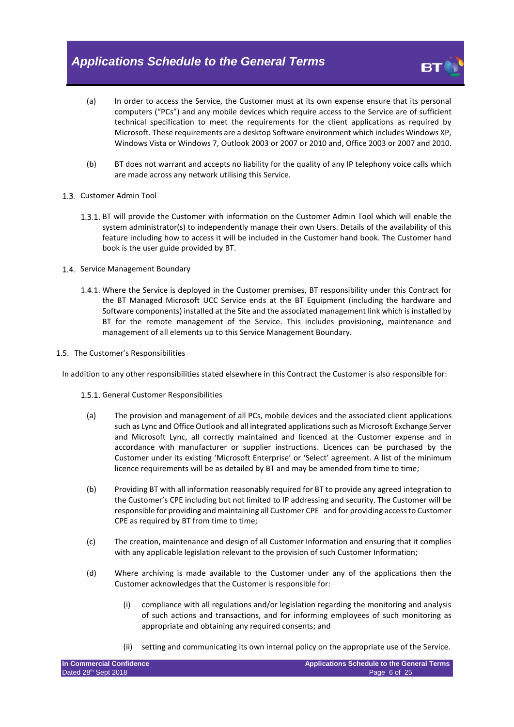

- (a) In order to access the Service, the Customer must at its own expense ensure that its personal computers ("PCs") and any mobile devices which require access to the Service are of sufficient technical specification to meet the requirements for the client applications as required by Microsoft. These requirements are a desktop Software environment which includes Windows XP, Windows Vista or Windows 7, Outlook 2003 or 2007 or 2010 and, Office 2003 or 2007 and 2010.
- (b) BT does not warrant and accepts no liability for the quality of any IP telephony voice calls which are made across any network utilising this Service.
- 1.3. Customer Admin Tool
	- 1.3.1. BT will provide the Customer with information on the Customer Admin Tool which will enable the system administrator(s) to independently manage their own Users. Details of the availability of this feature including how to access it will be included in the Customer hand book. The Customer hand book is the user guide provided by BT.
- 1.4. Service Management Boundary
	- Where the Service is deployed in the Customer premises, BT responsibility under this Contract for the BT Managed Microsoft UCC Service ends at the BT Equipment (including the hardware and Software components) installed at the Site and the associated management link which is installed by BT for the remote management of the Service. This includes provisioning, maintenance and management of all elements up to this Service Management Boundary.
- 1.5. The Customer's Responsibilities

<span id="page-5-0"></span>In addition to any other responsibilities stated elsewhere in this Contract the Customer is also responsible for:

- 1.5.1. General Customer Responsibilities
	- (a) The provision and management of all PCs, mobile devices and the associated client applications such as Lync and Office Outlook and all integrated applications such as Microsoft Exchange Server and Microsoft Lync, all correctly maintained and licenced at the Customer expense and in accordance with manufacturer or supplier instructions. Licences can be purchased by the Customer under its existing 'Microsoft Enterprise' or 'Select' agreement. A list of the minimum licence requirements will be as detailed by BT and may be amended from time to time;
	- (b) Providing BT with all information reasonably required for BT to provide any agreed integration to the Customer's CPE including but not limited to IP addressing and security. The Customer will be responsible for providing and maintaining all Customer CPE and for providing access to Customer CPE as required by BT from time to time;
	- (c) The creation, maintenance and design of all Customer Information and ensuring that it complies with any applicable legislation relevant to the provision of such Customer Information;
	- (d) Where archiving is made available to the Customer under any of the applications then the Customer acknowledges that the Customer is responsible for:
		- (i) compliance with all regulations and/or legislation regarding the monitoring and analysis of such actions and transactions, and for informing employees of such monitoring as appropriate and obtaining any required consents; and
		- (ii) setting and communicating its own internal policy on the appropriate use of the Service.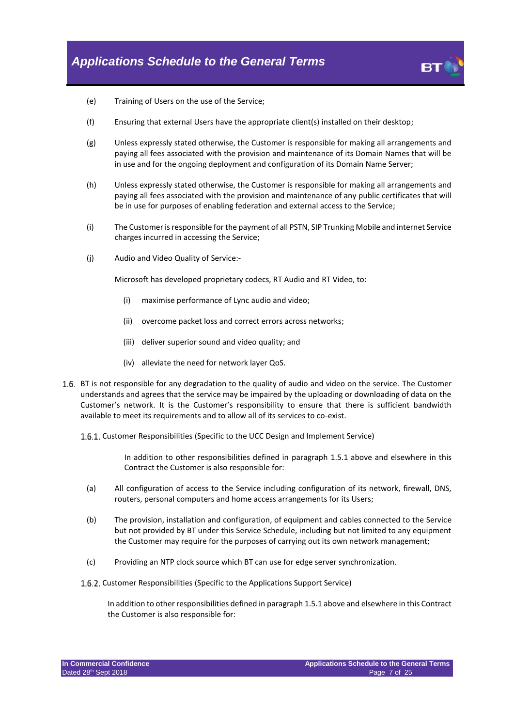

- (e) Training of Users on the use of the Service;
- (f) Ensuring that external Users have the appropriate client(s) installed on their desktop;
- (g) Unless expressly stated otherwise, the Customer is responsible for making all arrangements and paying all fees associated with the provision and maintenance of its Domain Names that will be in use and for the ongoing deployment and configuration of its Domain Name Server;
- (h) Unless expressly stated otherwise, the Customer is responsible for making all arrangements and paying all fees associated with the provision and maintenance of any public certificates that will be in use for purposes of enabling federation and external access to the Service;
- (i) The Customer is responsible for the payment of all PSTN, SIP Trunking Mobile and internet Service charges incurred in accessing the Service;
- (j) Audio and Video Quality of Service:-

Microsoft has developed proprietary codecs, RT Audio and RT Video, to:

- (i) maximise performance of Lync audio and video;
- (ii) overcome packet loss and correct errors across networks;
- (iii) deliver superior sound and video quality; and
- (iv) alleviate the need for network layer QoS.
- 1.6. BT is not responsible for any degradation to the quality of audio and video on the service. The Customer understands and agrees that the service may be impaired by the uploading or downloading of data on the Customer's network. It is the Customer's responsibility to ensure that there is sufficient bandwidth available to meet its requirements and to allow all of its services to co-exist.
	- 1.6.1. Customer Responsibilities (Specific to the UCC Design and Implement Service)

In addition to other responsibilities defined in paragraph [1.5.1](#page-5-0) above and elsewhere in this Contract the Customer is also responsible for:

- (a) All configuration of access to the Service including configuration of its network, firewall, DNS, routers, personal computers and home access arrangements for its Users;
- (b) The provision, installation and configuration, of equipment and cables connected to the Service but not provided by BT under this Service Schedule, including but not limited to any equipment the Customer may require for the purposes of carrying out its own network management;
- (c) Providing an NTP clock source which BT can use for edge server synchronization.
- 1.6.2. Customer Responsibilities (Specific to the Applications Support Service)

In addition to other responsibilities defined in paragrap[h 1.5.1](#page-5-0) above and elsewhere in this Contract the Customer is also responsible for: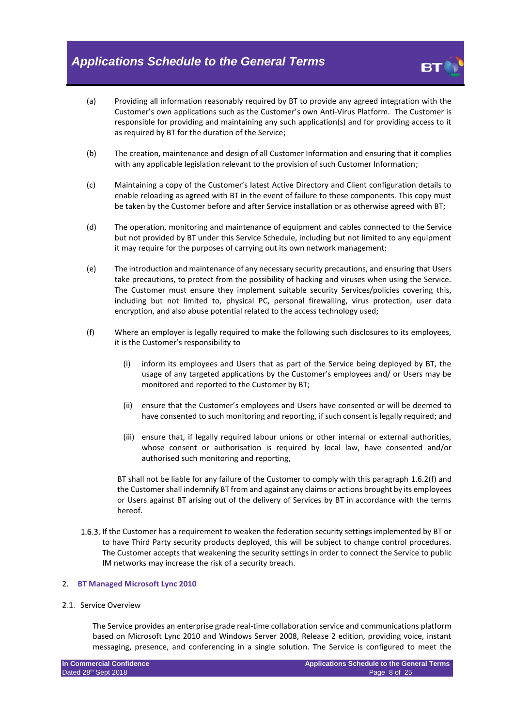

- (a) Providing all information reasonably required by BT to provide any agreed integration with the Customer's own applications such as the Customer's own Anti-Virus Platform. The Customer is responsible for providing and maintaining any such application(s) and for providing access to it as required by BT for the duration of the Service;
- (b) The creation, maintenance and design of all Customer Information and ensuring that it complies with any applicable legislation relevant to the provision of such Customer Information;
- (c) Maintaining a copy of the Customer's latest Active Directory and Client configuration details to enable reloading as agreed with BT in the event of failure to these components. This copy must be taken by the Customer before and after Service installation or as otherwise agreed with BT;
- (d) The operation, monitoring and maintenance of equipment and cables connected to the Service but not provided by BT under this Service Schedule, including but not limited to any equipment it may require for the purposes of carrying out its own network management;
- (e) The introduction and maintenance of any necessary security precautions, and ensuring that Users take precautions, to protect from the possibility of hacking and viruses when using the Service. The Customer must ensure they implement suitable security Services/policies covering this, including but not limited to, physical PC, personal firewalling, virus protection, user data encryption, and also abuse potential related to the access technology used;
- <span id="page-7-0"></span>(f) Where an employer is legally required to make the following such disclosures to its employees, it is the Customer's responsibility to
	- (i) inform its employees and Users that as part of the Service being deployed by BT, the usage of any targeted applications by the Customer's employees and/ or Users may be monitored and reported to the Customer by BT;
	- (ii) ensure that the Customer's employees and Users have consented or will be deemed to have consented to such monitoring and reporting, if such consent is legally required; and
	- (iii) ensure that, if legally required labour unions or other internal or external authorities, whose consent or authorisation is required by local law, have consented and/or authorised such monitoring and reporting,

BT shall not be liable for any failure of the Customer to comply with this paragraph [1.6.2\(f\)](#page-7-0) and the Customer shall indemnify BT from and against any claims or actions brought by its employees or Users against BT arising out of the delivery of Services by BT in accordance with the terms hereof.

1.6.3. If the Customer has a requirement to weaken the federation security settings implemented by BT or to have Third Party security products deployed, this will be subject to change control procedures. The Customer accepts that weakening the security settings in order to connect the Service to public IM networks may increase the risk of a security breach.

#### 2. **BT Managed Microsoft Lync 2010**

#### 2.1 Service Overview

The Service provides an enterprise grade real-time collaboration service and communications platform based on Microsoft Lync 2010 and Windows Server 2008, Release 2 edition, providing voice, instant messaging, presence, and conferencing in a single solution. The Service is configured to meet the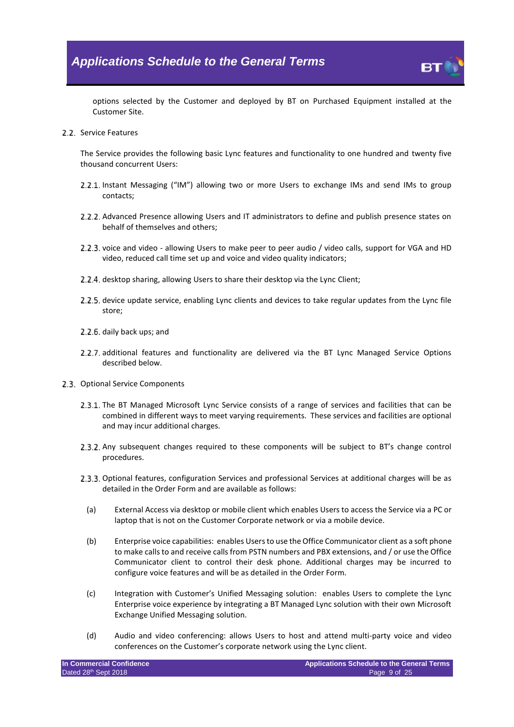

options selected by the Customer and deployed by BT on Purchased Equipment installed at the Customer Site.

2.2. Service Features

The Service provides the following basic Lync features and functionality to one hundred and twenty five thousand concurrent Users:

- 2.2.1. Instant Messaging ("IM") allowing two or more Users to exchange IMs and send IMs to group contacts;
- 2.2.2. Advanced Presence allowing Users and IT administrators to define and publish presence states on behalf of themselves and others;
- 2.2.3. voice and video allowing Users to make peer to peer audio / video calls, support for VGA and HD video, reduced call time set up and voice and video quality indicators;
- 2.2.4. desktop sharing, allowing Users to share their desktop via the Lync Client;
- 2.2.5, device update service, enabling Lync clients and devices to take regular updates from the Lync file store;
- 2.2.6. daily back ups; and
- 2.2.7 additional features and functionality are delivered via the BT Lync Managed Service Options described below.
- 2.3. Optional Service Components
	- 2.3.1. The BT Managed Microsoft Lync Service consists of a range of services and facilities that can be combined in different ways to meet varying requirements. These services and facilities are optional and may incur additional charges.
	- 2.3.2. Any subsequent changes required to these components will be subject to BT's change control procedures.
	- 2.3.3. Optional features, configuration Services and professional Services at additional charges will be as detailed in the Order Form and are available as follows:
		- (a) External Access via desktop or mobile client which enables Users to access the Service via a PC or laptop that is not on the Customer Corporate network or via a mobile device.
		- (b) Enterprise voice capabilities: enables Users to use the Office Communicator client as a soft phone to make calls to and receive calls from PSTN numbers and PBX extensions, and / or use the Office Communicator client to control their desk phone. Additional charges may be incurred to configure voice features and will be as detailed in the Order Form.
		- (c) Integration with Customer's Unified Messaging solution: enables Users to complete the Lync Enterprise voice experience by integrating a BT Managed Lync solution with their own Microsoft Exchange Unified Messaging solution.
		- (d) Audio and video conferencing: allows Users to host and attend multi-party voice and video conferences on the Customer's corporate network using the Lync client.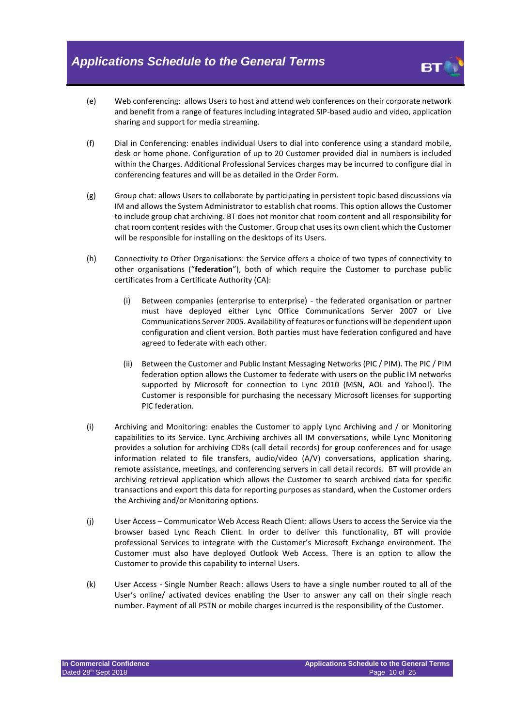

- (e) Web conferencing: allows Users to host and attend web conferences on their corporate network and benefit from a range of features including integrated SIP-based audio and video, application sharing and support for media streaming.
- (f) Dial in Conferencing: enables individual Users to dial into conference using a standard mobile, desk or home phone. Configuration of up to 20 Customer provided dial in numbers is included within the Charges. Additional Professional Services charges may be incurred to configure dial in conferencing features and will be as detailed in the Order Form.
- (g) Group chat: allows Users to collaborate by participating in persistent topic based discussions via IM and allows the System Administrator to establish chat rooms. This option allows the Customer to include group chat archiving. BT does not monitor chat room content and all responsibility for chat room content resides with the Customer. Group chat uses its own client which the Customer will be responsible for installing on the desktops of its Users.
- (h) Connectivity to Other Organisations: the Service offers a choice of two types of connectivity to other organisations ("**federation**"), both of which require the Customer to purchase public certificates from a Certificate Authority (CA):
	- (i) Between companies (enterprise to enterprise) the federated organisation or partner must have deployed either Lync Office Communications Server 2007 or Live Communications Server 2005. Availability of features or functions will be dependent upon configuration and client version. Both parties must have federation configured and have agreed to federate with each other.
	- (ii) Between the Customer and Public Instant Messaging Networks (PIC / PIM). The PIC / PIM federation option allows the Customer to federate with users on the public IM networks supported by Microsoft for connection to Lync 2010 (MSN, AOL and Yahoo!). The Customer is responsible for purchasing the necessary Microsoft licenses for supporting PIC federation.
- (i) Archiving and Monitoring: enables the Customer to apply Lync Archiving and / or Monitoring capabilities to its Service. Lync Archiving archives all IM conversations, while Lync Monitoring provides a solution for archiving CDRs (call detail records) for group conferences and for usage information related to file transfers, audio/video (A/V) conversations, application sharing, remote assistance, meetings, and conferencing servers in call detail records. BT will provide an archiving retrieval application which allows the Customer to search archived data for specific transactions and export this data for reporting purposes as standard, when the Customer orders the Archiving and/or Monitoring options.
- (j) User Access Communicator Web Access Reach Client: allows Users to access the Service via the browser based Lync Reach Client. In order to deliver this functionality, BT will provide professional Services to integrate with the Customer's Microsoft Exchange environment. The Customer must also have deployed Outlook Web Access. There is an option to allow the Customer to provide this capability to internal Users.
- (k) User Access Single Number Reach: allows Users to have a single number routed to all of the User's online/ activated devices enabling the User to answer any call on their single reach number. Payment of all PSTN or mobile charges incurred is the responsibility of the Customer.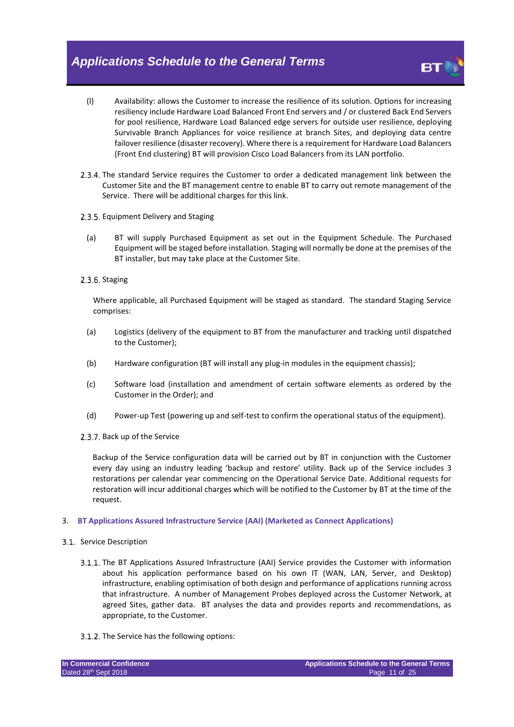- (l) Availability: allows the Customer to increase the resilience of its solution. Options for increasing resiliency include Hardware Load Balanced Front End servers and / or clustered Back End Servers for pool resilience, Hardware Load Balanced edge servers for outside user resilience, deploying Survivable Branch Appliances for voice resilience at branch Sites, and deploying data centre failover resilience (disaster recovery). Where there is a requirement for Hardware Load Balancers (Front End clustering) BT will provision Cisco Load Balancers from its LAN portfolio.
- 2.3.4. The standard Service requires the Customer to order a dedicated management link between the Customer Site and the BT management centre to enable BT to carry out remote management of the Service. There will be additional charges for this link.
- 2.3.5. Equipment Delivery and Staging
	- (a) BT will supply Purchased Equipment as set out in the Equipment Schedule. The Purchased Equipment will be staged before installation. Staging will normally be done at the premises of the BT installer, but may take place at the Customer Site.
- 2.3.6. Staging

Where applicable, all Purchased Equipment will be staged as standard. The standard Staging Service comprises:

- (a) Logistics (delivery of the equipment to BT from the manufacturer and tracking until dispatched to the Customer);
- (b) Hardware configuration (BT will install any plug-in modules in the equipment chassis);
- (c) Software load (installation and amendment of certain software elements as ordered by the Customer in the Order); and
- (d) Power-up Test (powering up and self-test to confirm the operational status of the equipment).
- 2.3.7. Back up of the Service

Backup of the Service configuration data will be carried out by BT in conjunction with the Customer every day using an industry leading 'backup and restore' utility. Back up of the Service includes 3 restorations per calendar year commencing on the Operational Service Date. Additional requests for restoration will incur additional charges which will be notified to the Customer by BT at the time of the request.

#### 3. **BT Applications Assured Infrastructure Service (AAI) (Marketed as Connect Applications)**

#### 3.1. Service Description

- 3.1.1. The BT Applications Assured Infrastructure (AAI) Service provides the Customer with information about his application performance based on his own IT (WAN, LAN, Server, and Desktop) infrastructure, enabling optimisation of both design and performance of applications running across that infrastructure. A number of Management Probes deployed across the Customer Network, at agreed Sites, gather data. BT analyses the data and provides reports and recommendations, as appropriate, to the Customer.
- 3.1.2. The Service has the following options: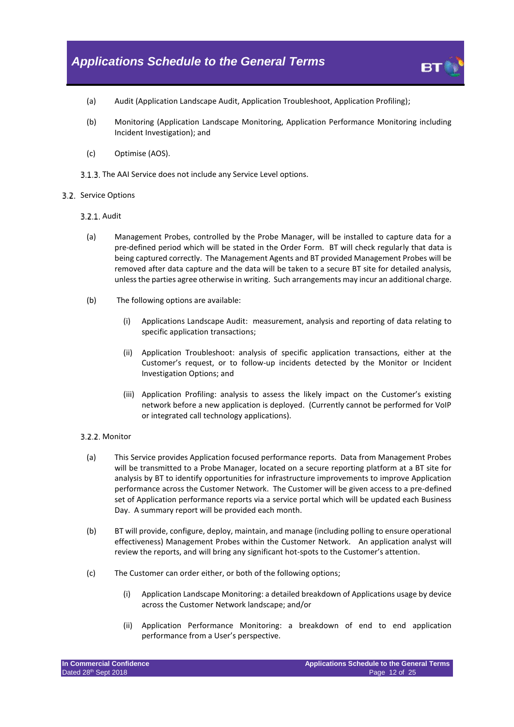

- (a) Audit (Application Landscape Audit, Application Troubleshoot, Application Profiling);
- (b) Monitoring (Application Landscape Monitoring, Application Performance Monitoring including Incident Investigation); and
- (c) Optimise (AOS).
- 3.1.3. The AAI Service does not include any Service Level options.

#### 3.2. Service Options

- 3.2.1. Audit
	- (a) Management Probes, controlled by the Probe Manager, will be installed to capture data for a pre-defined period which will be stated in the Order Form. BT will check regularly that data is being captured correctly. The Management Agents and BT provided Management Probes will be removed after data capture and the data will be taken to a secure BT site for detailed analysis, unless the parties agree otherwise in writing. Such arrangements may incur an additional charge.
	- (b) The following options are available:
		- (i) Applications Landscape Audit: measurement, analysis and reporting of data relating to specific application transactions;
		- (ii) Application Troubleshoot: analysis of specific application transactions, either at the Customer's request, or to follow-up incidents detected by the Monitor or Incident Investigation Options; and
		- (iii) Application Profiling: analysis to assess the likely impact on the Customer's existing network before a new application is deployed. (Currently cannot be performed for VoIP or integrated call technology applications).

#### 3.2.2. Monitor

- (a) This Service provides Application focused performance reports. Data from Management Probes will be transmitted to a Probe Manager, located on a secure reporting platform at a BT site for analysis by BT to identify opportunities for infrastructure improvements to improve Application performance across the Customer Network. The Customer will be given access to a pre-defined set of Application performance reports via a service portal which will be updated each Business Day. A summary report will be provided each month.
- (b) BT will provide, configure, deploy, maintain, and manage (including polling to ensure operational effectiveness) Management Probes within the Customer Network. An application analyst will review the reports, and will bring any significant hot-spots to the Customer's attention.
- (c) The Customer can order either, or both of the following options;
	- (i) Application Landscape Monitoring: a detailed breakdown of Applications usage by device across the Customer Network landscape; and/or
	- (ii) Application Performance Monitoring: a breakdown of end to end application performance from a User's perspective.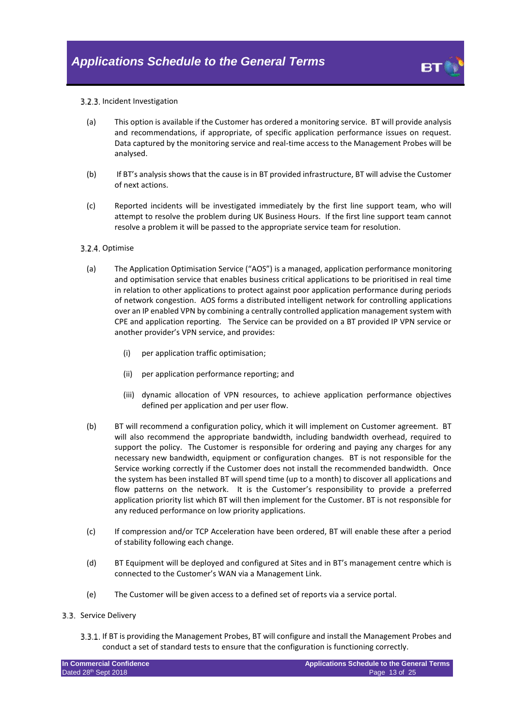

#### 3.2.3. Incident Investigation

- (a) This option is available if the Customer has ordered a monitoring service. BT will provide analysis and recommendations, if appropriate, of specific application performance issues on request. Data captured by the monitoring service and real-time access to the Management Probes will be analysed.
- (b) If BT's analysis shows that the cause is in BT provided infrastructure, BT will advise the Customer of next actions.
- (c) Reported incidents will be investigated immediately by the first line support team, who will attempt to resolve the problem during UK Business Hours. If the first line support team cannot resolve a problem it will be passed to the appropriate service team for resolution.

#### 3.2.4. Optimise

- (a) The Application Optimisation Service ("AOS") is a managed, application performance monitoring and optimisation service that enables business critical applications to be prioritised in real time in relation to other applications to protect against poor application performance during periods of network congestion. AOS forms a distributed intelligent network for controlling applications over an IP enabled VPN by combining a centrally controlled application management system with CPE and application reporting. The Service can be provided on a BT provided IP VPN service or another provider's VPN service, and provides:
	- (i) per application traffic optimisation;
	- (ii) per application performance reporting; and
	- (iii) dynamic allocation of VPN resources, to achieve application performance objectives defined per application and per user flow.
- (b) BT will recommend a configuration policy, which it will implement on Customer agreement. BT will also recommend the appropriate bandwidth, including bandwidth overhead, required to support the policy. The Customer is responsible for ordering and paying any charges for any necessary new bandwidth, equipment or configuration changes. BT is not responsible for the Service working correctly if the Customer does not install the recommended bandwidth. Once the system has been installed BT will spend time (up to a month) to discover all applications and flow patterns on the network. It is the Customer's responsibility to provide a preferred application priority list which BT will then implement for the Customer. BT is not responsible for any reduced performance on low priority applications.
- (c) If compression and/or TCP Acceleration have been ordered, BT will enable these after a period of stability following each change.
- (d) BT Equipment will be deployed and configured at Sites and in BT's management centre which is connected to the Customer's WAN via a Management Link.
- (e) The Customer will be given access to a defined set of reports via a service portal.

#### 3.3. Service Delivery

If BT is providing the Management Probes, BT will configure and install the Management Probes and conduct a set of standard tests to ensure that the configuration is functioning correctly.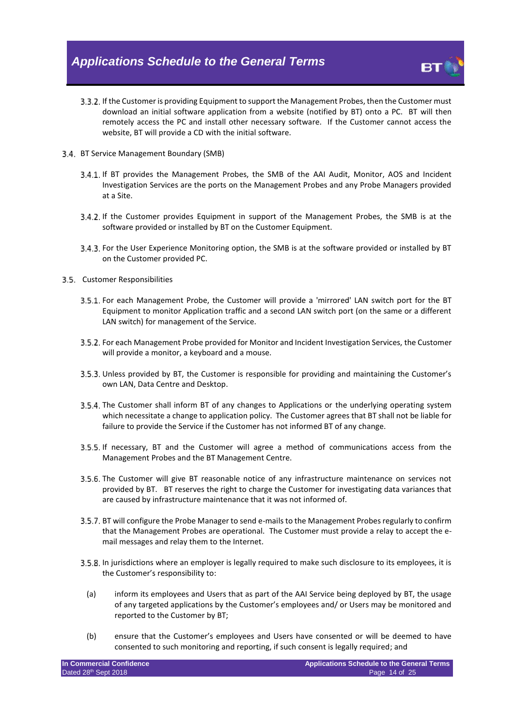

- 3.3.2. If the Customer is providing Equipment to support the Management Probes, then the Customer must download an initial software application from a website (notified by BT) onto a PC. BT will then remotely access the PC and install other necessary software. If the Customer cannot access the website, BT will provide a CD with the initial software.
- BT Service Management Boundary (SMB)
	- If BT provides the Management Probes, the SMB of the AAI Audit, Monitor, AOS and Incident Investigation Services are the ports on the Management Probes and any Probe Managers provided at a Site.
	- If the Customer provides Equipment in support of the Management Probes, the SMB is at the software provided or installed by BT on the Customer Equipment.
	- 3.4.3. For the User Experience Monitoring option, the SMB is at the software provided or installed by BT on the Customer provided PC.
- <span id="page-13-0"></span>3.5. Customer Responsibilities
	- For each Management Probe, the Customer will provide a 'mirrored' LAN switch port for the BT Equipment to monitor Application traffic and a second LAN switch port (on the same or a different LAN switch) for management of the Service.
	- For each Management Probe provided for Monitor and Incident Investigation Services, the Customer will provide a monitor, a keyboard and a mouse.
	- 3.5.3. Unless provided by BT, the Customer is responsible for providing and maintaining the Customer's own LAN, Data Centre and Desktop.
	- 3.5.4. The Customer shall inform BT of any changes to Applications or the underlying operating system which necessitate a change to application policy. The Customer agrees that BT shall not be liable for failure to provide the Service if the Customer has not informed BT of any change.
	- 3.5.5. If necessary, BT and the Customer will agree a method of communications access from the Management Probes and the BT Management Centre.
	- 3.5.6. The Customer will give BT reasonable notice of any infrastructure maintenance on services not provided by BT. BT reserves the right to charge the Customer for investigating data variances that are caused by infrastructure maintenance that it was not informed of.
	- 3.5.7. BT will configure the Probe Manager to send e-mails to the Management Probes regularly to confirm that the Management Probes are operational. The Customer must provide a relay to accept the email messages and relay them to the Internet.
	- 3.5.8. In jurisdictions where an employer is legally required to make such disclosure to its employees, it is the Customer's responsibility to:
		- (a) inform its employees and Users that as part of the AAI Service being deployed by BT, the usage of any targeted applications by the Customer's employees and/ or Users may be monitored and reported to the Customer by BT;
	- (b) ensure that the Customer's employees and Users have consented or will be deemed to have consented to such monitoring and reporting, if such consent is legally required; and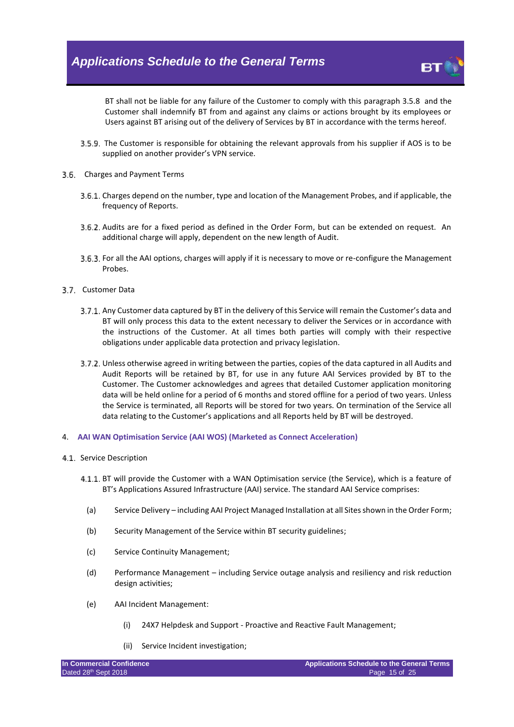

BT shall not be liable for any failure of the Customer to comply with this paragraph [3.5.8](#page-13-0) and the Customer shall indemnify BT from and against any claims or actions brought by its employees or Users against BT arising out of the delivery of Services by BT in accordance with the terms hereof.

- The Customer is responsible for obtaining the relevant approvals from his supplier if AOS is to be supplied on another provider's VPN service.
- 3.6. Charges and Payment Terms
	- 3.6.1. Charges depend on the number, type and location of the Management Probes, and if applicable, the frequency of Reports.
	- 3.6.2. Audits are for a fixed period as defined in the Order Form, but can be extended on request. An additional charge will apply, dependent on the new length of Audit.
	- For all the AAI options, charges will apply if it is necessary to move or re-configure the Management **Probes**
- 3.7. Customer Data
	- 3.7.1. Any Customer data captured by BT in the delivery of this Service will remain the Customer's data and BT will only process this data to the extent necessary to deliver the Services or in accordance with the instructions of the Customer. At all times both parties will comply with their respective obligations under applicable data protection and privacy legislation.
	- 3.7.2. Unless otherwise agreed in writing between the parties, copies of the data captured in all Audits and Audit Reports will be retained by BT, for use in any future AAI Services provided by BT to the Customer. The Customer acknowledges and agrees that detailed Customer application monitoring data will be held online for a period of 6 months and stored offline for a period of two years. Unless the Service is terminated, all Reports will be stored for two years. On termination of the Service all data relating to the Customer's applications and all Reports held by BT will be destroyed.
- 4. **AAI WAN Optimisation Service (AAI WOS) (Marketed as Connect Acceleration)**
- 4.1 Service Description
	- 4.1.1. BT will provide the Customer with a WAN Optimisation service (the Service), which is a feature of BT's Applications Assured Infrastructure (AAI) service. The standard AAI Service comprises:
		- (a) Service Delivery including AAI Project Managed Installation at all Sites shown in the Order Form;
		- (b) Security Management of the Service within BT security guidelines;
		- (c) Service Continuity Management;
		- (d) Performance Management including Service outage analysis and resiliency and risk reduction design activities;
		- (e) AAI Incident Management:
			- (i) 24X7 Helpdesk and Support Proactive and Reactive Fault Management;
			- (ii) Service Incident investigation;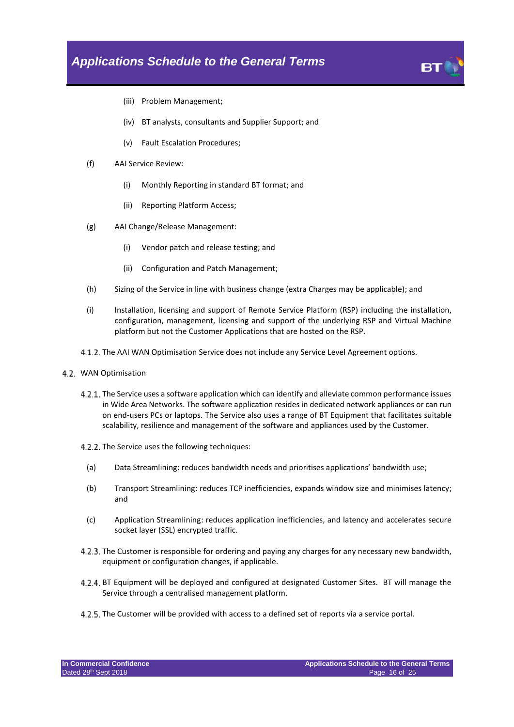

- (iii) Problem Management;
- (iv) BT analysts, consultants and Supplier Support; and
- (v) Fault Escalation Procedures;
- (f) AAI Service Review:
	- (i) Monthly Reporting in standard BT format; and
	- (ii) Reporting Platform Access;
- (g) AAI Change/Release Management:
	- (i) Vendor patch and release testing; and
	- (ii) Configuration and Patch Management;
- (h) Sizing of the Service in line with business change (extra Charges may be applicable); and
- (i) Installation, licensing and support of Remote Service Platform (RSP) including the installation, configuration, management, licensing and support of the underlying RSP and Virtual Machine platform but not the Customer Applications that are hosted on the RSP.
- 4.1.2. The AAI WAN Optimisation Service does not include any Service Level Agreement options.
- 4.2 WAN Optimisation
	- 4.2.1. The Service uses a software application which can identify and alleviate common performance issues in Wide Area Networks. The software application resides in dedicated network appliances or can run on end-users PCs or laptops. The Service also uses a range of BT Equipment that facilitates suitable scalability, resilience and management of the software and appliances used by the Customer.
	- 4.2.2. The Service uses the following techniques:
		- (a) Data Streamlining: reduces bandwidth needs and prioritises applications' bandwidth use;
		- (b) Transport Streamlining: reduces TCP inefficiencies, expands window size and minimises latency; and
		- (c) Application Streamlining: reduces application inefficiencies, and latency and accelerates secure socket layer (SSL) encrypted traffic.
	- 4.2.3. The Customer is responsible for ordering and paying any charges for any necessary new bandwidth, equipment or configuration changes, if applicable.
	- 4.2.4. BT Equipment will be deployed and configured at designated Customer Sites. BT will manage the Service through a centralised management platform.
	- 4.2.5. The Customer will be provided with access to a defined set of reports via a service portal.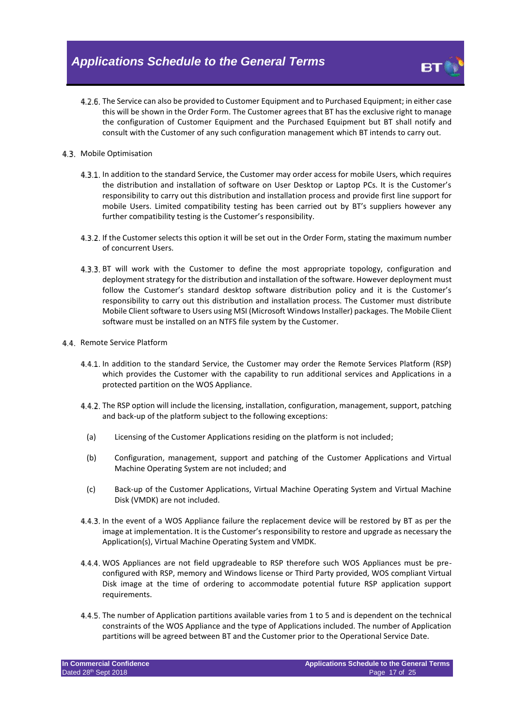4.2.6. The Service can also be provided to Customer Equipment and to Purchased Equipment; in either case this will be shown in the Order Form. The Customer agrees that BT has the exclusive right to manage the configuration of Customer Equipment and the Purchased Equipment but BT shall notify and consult with the Customer of any such configuration management which BT intends to carry out.

#### 4.3. Mobile Optimisation

- 4.3.1. In addition to the standard Service, the Customer may order access for mobile Users, which requires the distribution and installation of software on User Desktop or Laptop PCs. It is the Customer's responsibility to carry out this distribution and installation process and provide first line support for mobile Users. Limited compatibility testing has been carried out by BT's suppliers however any further compatibility testing is the Customer's responsibility.
- 4.3.2. If the Customer selects this option it will be set out in the Order Form, stating the maximum number of concurrent Users.
- 4.3.3. BT will work with the Customer to define the most appropriate topology, configuration and deployment strategy for the distribution and installation of the software. However deployment must follow the Customer's standard desktop software distribution policy and it is the Customer's responsibility to carry out this distribution and installation process. The Customer must distribute Mobile Client software to Users using MSI (Microsoft Windows Installer) packages. The Mobile Client software must be installed on an NTFS file system by the Customer.

#### 4.4 Remote Service Platform

- 4.4.1. In addition to the standard Service, the Customer may order the Remote Services Platform (RSP) which provides the Customer with the capability to run additional services and Applications in a protected partition on the WOS Appliance.
- 4.4.2. The RSP option will include the licensing, installation, configuration, management, support, patching and back-up of the platform subject to the following exceptions:
	- (a) Licensing of the Customer Applications residing on the platform is not included;
	- (b) Configuration, management, support and patching of the Customer Applications and Virtual Machine Operating System are not included; and
	- (c) Back-up of the Customer Applications, Virtual Machine Operating System and Virtual Machine Disk (VMDK) are not included.
- In the event of a WOS Appliance failure the replacement device will be restored by BT as per the image at implementation. It is the Customer's responsibility to restore and upgrade as necessary the Application(s), Virtual Machine Operating System and VMDK.
- 4.4.4. WOS Appliances are not field upgradeable to RSP therefore such WOS Appliances must be preconfigured with RSP, memory and Windows license or Third Party provided, WOS compliant Virtual Disk image at the time of ordering to accommodate potential future RSP application support requirements.
- The number of Application partitions available varies from 1 to 5 and is dependent on the technical constraints of the WOS Appliance and the type of Applications included. The number of Application partitions will be agreed between BT and the Customer prior to the Operational Service Date.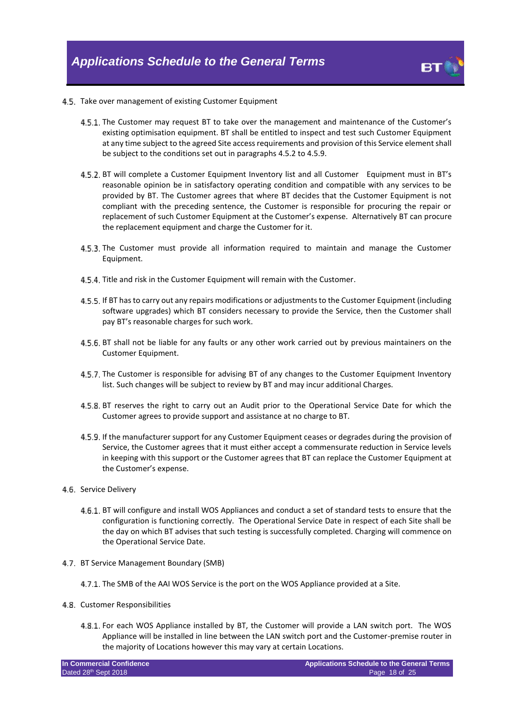

#### 4.5. Take over management of existing Customer Equipment

- 4.5.1. The Customer may request BT to take over the management and maintenance of the Customer's existing optimisation equipment. BT shall be entitled to inspect and test such Customer Equipment at any time subject to the agreed Site access requirements and provision of this Service element shall be subject to the conditions set out in paragraph[s 4.5.2](#page-17-0) to [4.5.9.](#page-17-1)
- <span id="page-17-0"></span>4.5.2. BT will complete a Customer Equipment Inventory list and all Customer Equipment must in BT's reasonable opinion be in satisfactory operating condition and compatible with any services to be provided by BT. The Customer agrees that where BT decides that the Customer Equipment is not compliant with the preceding sentence, the Customer is responsible for procuring the repair or replacement of such Customer Equipment at the Customer's expense. Alternatively BT can procure the replacement equipment and charge the Customer for it.
- 4.5.3. The Customer must provide all information required to maintain and manage the Customer Equipment.
- 4.5.4. Title and risk in the Customer Equipment will remain with the Customer.
- 4.5.5. If BT has to carry out any repairs modifications or adjustments to the Customer Equipment (including software upgrades) which BT considers necessary to provide the Service, then the Customer shall pay BT's reasonable charges for such work.
- 4.5.6. BT shall not be liable for any faults or any other work carried out by previous maintainers on the Customer Equipment.
- 4.5.7. The Customer is responsible for advising BT of any changes to the Customer Equipment Inventory list. Such changes will be subject to review by BT and may incur additional Charges.
- 4.5.8. BT reserves the right to carry out an Audit prior to the Operational Service Date for which the Customer agrees to provide support and assistance at no charge to BT.
- <span id="page-17-1"></span>4.5.9. If the manufacturer support for any Customer Equipment ceases or degrades during the provision of Service, the Customer agrees that it must either accept a commensurate reduction in Service levels in keeping with this support or the Customer agrees that BT can replace the Customer Equipment at the Customer's expense.
- 4.6. Service Delivery
	- 4.6.1. BT will configure and install WOS Appliances and conduct a set of standard tests to ensure that the configuration is functioning correctly. The Operational Service Date in respect of each Site shall be the day on which BT advises that such testing is successfully completed. Charging will commence on the Operational Service Date.
- 4.7. BT Service Management Boundary (SMB)
	- 4.7.1. The SMB of the AAI WOS Service is the port on the WOS Appliance provided at a Site.
- 4.8. Customer Responsibilities
	- For each WOS Appliance installed by BT, the Customer will provide a LAN switch port. The WOS Appliance will be installed in line between the LAN switch port and the Customer-premise router in the majority of Locations however this may vary at certain Locations.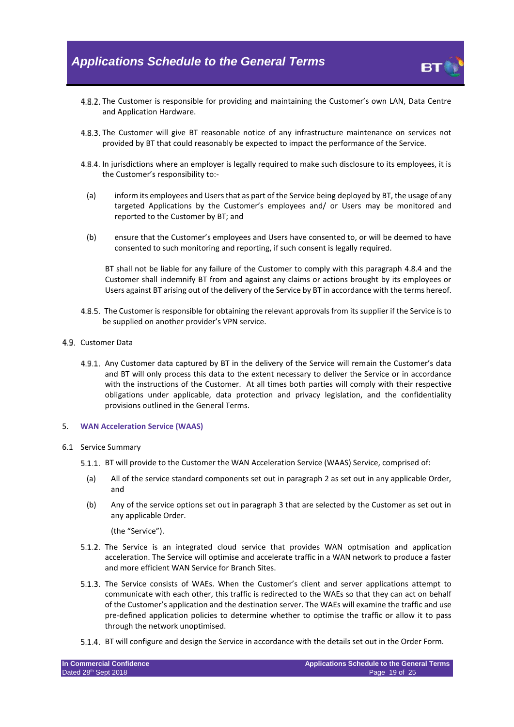

- 4.8.2. The Customer is responsible for providing and maintaining the Customer's own LAN, Data Centre and Application Hardware.
- 4.8.3. The Customer will give BT reasonable notice of any infrastructure maintenance on services not provided by BT that could reasonably be expected to impact the performance of the Service.
- <span id="page-18-0"></span>4.8.4. In jurisdictions where an employer is legally required to make such disclosure to its employees, it is the Customer's responsibility to:-
	- (a) inform its employees and Users that as part of the Service being deployed by BT, the usage of any targeted Applications by the Customer's employees and/ or Users may be monitored and reported to the Customer by BT; and
	- (b) ensure that the Customer's employees and Users have consented to, or will be deemed to have consented to such monitoring and reporting, if such consent is legally required.

BT shall not be liable for any failure of the Customer to comply with this paragraph [4.8.4](#page-18-0) and the Customer shall indemnify BT from and against any claims or actions brought by its employees or Users against BT arising out of the delivery of the Service by BT in accordance with the terms hereof.

- 4.8.5. The Customer is responsible for obtaining the relevant approvals from its supplier if the Service is to be supplied on another provider's VPN service.
- 4.9. Customer Data
	- 4.9.1. Any Customer data captured by BT in the delivery of the Service will remain the Customer's data and BT will only process this data to the extent necessary to deliver the Service or in accordance with the instructions of the Customer. At all times both parties will comply with their respective obligations under applicable, data protection and privacy legislation, and the confidentiality provisions outlined in the General Terms.
- 5. **WAN Acceleration Service (WAAS)**
- 6.1 Service Summary
	- 5.1.1. BT will provide to the Customer the WAN Acceleration Service (WAAS) Service, comprised of:
		- (a) All of the service standard components set out in paragraph 2 as set out in any applicable Order, and
		- (b) Any of the service options set out in paragraph 3 that are selected by the Customer as set out in any applicable Order.

(the "Service").

- 5.1.2. The Service is an integrated cloud service that provides WAN optmisation and application acceleration. The Service will optimise and accelerate traffic in a WAN network to produce a faster and more efficient WAN Service for Branch Sites.
- The Service consists of WAEs. When the Customer's client and server applications attempt to communicate with each other, this traffic is redirected to the WAEs so that they can act on behalf of the Customer's application and the destination server. The WAEs will examine the traffic and use pre-defined application policies to determine whether to optimise the traffic or allow it to pass through the network unoptimised.
- 5.1.4. BT will configure and design the Service in accordance with the details set out in the Order Form.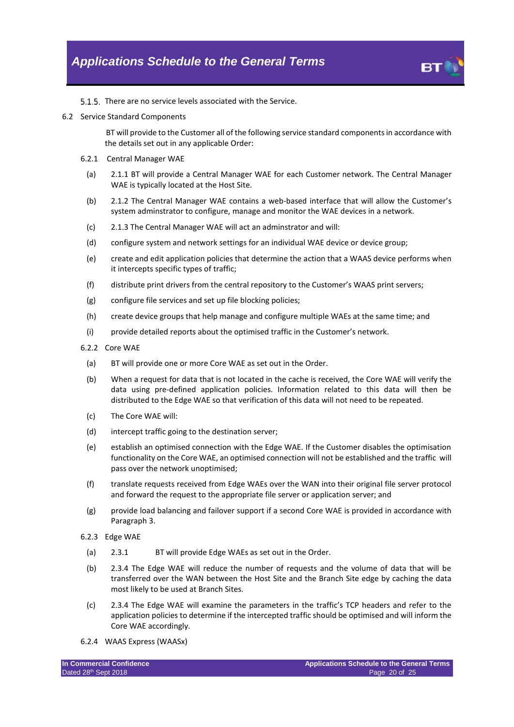

5.1.5. There are no service levels associated with the Service.

6.2 Service Standard Components

BT will provide to the Customer all of the following service standard components in accordance with the details set out in any applicable Order:

- 6.2.1 Central Manager WAE
	- (a) 2.1.1 BT will provide a Central Manager WAE for each Customer network. The Central Manager WAE is typically located at the Host Site.
	- (b) 2.1.2 The Central Manager WAE contains a web-based interface that will allow the Customer's system adminstrator to configure, manage and monitor the WAE devices in a network.
	- (c) 2.1.3 The Central Manager WAE will act an adminstrator and will:
	- (d) configure system and network settings for an individual WAE device or device group;
	- (e) create and edit application policies that determine the action that a WAAS device performs when it intercepts specific types of traffic;
	- (f) distribute print drivers from the central repository to the Customer's WAAS print servers;
	- (g) configure file services and set up file blocking policies;
	- (h) create device groups that help manage and configure multiple WAEs at the same time; and
	- (i) provide detailed reports about the optimised traffic in the Customer's network.
- <span id="page-19-0"></span>6.2.2 Core WAE
	- (a) BT will provide one or more Core WAE as set out in the Order.
	- (b) When a request for data that is not located in the cache is received, the Core WAE will verify the data using pre-defined application policies. Information related to this data will then be distributed to the Edge WAE so that verification of this data will not need to be repeated.
	- (c) The Core WAE will:
	- (d) intercept traffic going to the destination server;
	- (e) establish an optimised connection with the Edge WAE. If the Customer disables the optimisation functionality on the Core WAE, an optimised connection will not be established and the traffic will pass over the network unoptimised;
	- (f) translate requests received from Edge WAEs over the WAN into their original file server protocol and forward the request to the appropriate file server or application server; and
	- (g) provide load balancing and failover support if a second Core WAE is provided in accordance with Paragraph 3.
- 6.2.3 Edge WAE
	- (a) 2.3.1 BT will provide Edge WAEs as set out in the Order.
	- (b) 2.3.4 The Edge WAE will reduce the number of requests and the volume of data that will be transferred over the WAN between the Host Site and the Branch Site edge by caching the data most likely to be used at Branch Sites.
- (c) 2.3.4 The Edge WAE will examine the parameters in the traffic's TCP headers and refer to the application policies to determine if the intercepted traffic should be optimised and will inform the Core WAE accordingly.
- 6.2.4 WAAS Express (WAASx)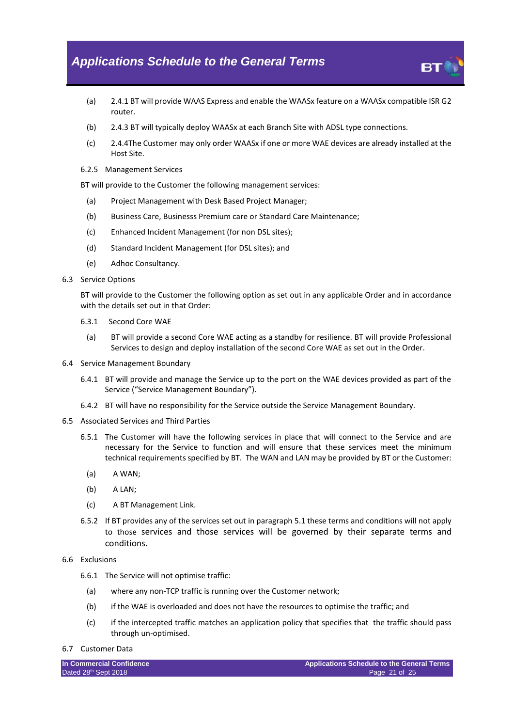- (a) 2.4.1 BT will provide WAAS Express and enable the WAASx feature on a WAASx compatible ISR G2 router.
- (b) 2.4.3 BT will typically deploy WAASx at each Branch Site with ADSL type connections.
- (c) 2.4.4The Customer may only order WAASx if one or more WAE devices are already installed at the Host Site.
- 6.2.5 Management Services

BT will provide to the Customer the following management services:

- (a) Project Management with Desk Based Project Manager;
- (b) Business Care, Businesss Premium care or Standard Care Maintenance;
- (c) Enhanced Incident Management (for non DSL sites);
- (d) Standard Incident Management (for DSL sites); and
- (e) Adhoc Consultancy.
- 6.3 Service Options

BT will provide to the Customer the following option as set out in any applicable Order and in accordance with the details set out in that Order:

- 6.3.1 Second Core WAE
	- (a) BT will provide a second Core WAE acting as a standby for resilience. BT will provide Professional Services to design and deploy installation of the second Core WAE as set out in the Order.
- 6.4 Service Management Boundary
	- 6.4.1 BT will provide and manage the Service up to the port on the WAE devices provided as part of the Service ("Service Management Boundary").
	- 6.4.2 BT will have no responsibility for the Service outside the Service Management Boundary.
- 6.5 Associated Services and Third Parties
	- 6.5.1 The Customer will have the following services in place that will connect to the Service and are necessary for the Service to function and will ensure that these services meet the minimum technical requirements specified by BT. The WAN and LAN may be provided by BT or the Customer:
		- (a) A WAN;
		- (b) A LAN;
		- (c) A BT Management Link.
	- 6.5.2 If BT provides any of the services set out in paragraph 5.1 these terms and conditions will not apply to those services and those services will be governed by their separate terms and conditions.
- 6.6 Exclusions
	- 6.6.1 The Service will not optimise traffic:
		- (a) where any non-TCP traffic is running over the Customer network;
		- (b) if the WAE is overloaded and does not have the resources to optimise the traffic; and
		- (c) if the intercepted traffic matches an application policy that specifies that the traffic should pass through un-optimised.

#### 6.7 Customer Data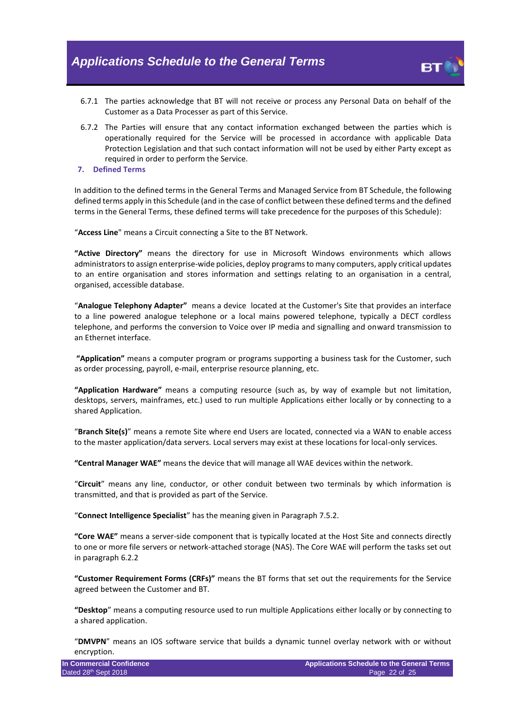- 
- 6.7.1 The parties acknowledge that BT will not receive or process any Personal Data on behalf of the Customer as a Data Processer as part of this Service.
- 6.7.2 The Parties will ensure that any contact information exchanged between the parties which is operationally required for the Service will be processed in accordance with applicable Data Protection Legislation and that such contact information will not be used by either Party except as required in order to perform the Service.
- **7. Defined Terms**

In addition to the defined terms in the General Terms and Managed Service from BT Schedule, the following defined terms apply in this Schedule (and in the case of conflict between these defined terms and the defined terms in the General Terms, these defined terms will take precedence for the purposes of this Schedule):

"**Access Line**" means a Circuit connecting a Site to the BT Network.

**"Active Directory"** means the directory for use in Microsoft Windows environments which allows administrators to assign enterprise-wide policies, deploy programs to many computers, apply critical updates to an entire organisation and stores information and settings relating to an organisation in a central, organised, accessible database.

"**Analogue Telephony Adapter"** means a device located at the Customer's Site that provides an interface to a line powered analogue telephone or a local mains powered telephone, typically a DECT cordless telephone, and performs the conversion to Voice over IP media and signalling and onward transmission to an Ethernet interface.

**"Application"** means a computer program or programs supporting a business task for the Customer, such as order processing, payroll, e-mail, enterprise resource planning, etc.

**"Application Hardware"** means a computing resource (such as, by way of example but not limitation, desktops, servers, mainframes, etc.) used to run multiple Applications either locally or by connecting to a shared Application.

"**Branch Site(s)**" means a remote Site where end Users are located, connected via a WAN to enable access to the master application/data servers. Local servers may exist at these locations for local-only services.

**"Central Manager WAE"** means the device that will manage all WAE devices within the network.

"**Circuit**" means any line, conductor, or other conduit between two terminals by which information is transmitted, and that is provided as part of the Service.

"**Connect Intelligence Specialist**" has the meaning given in Paragraph 7.5.2.

**"Core WAE"** means a server-side component that is typically located at the Host Site and connects directly to one or more file servers or network-attached storage (NAS). The Core WAE will perform the tasks set out in paragraph [6.2.2](#page-19-0)

**"Customer Requirement Forms (CRFs)"** means the BT forms that set out the requirements for the Service agreed between the Customer and BT.

**"Desktop**" means a computing resource used to run multiple Applications either locally or by connecting to a shared application.

"**DMVPN**" means an IOS software service that builds a dynamic tunnel overlay network with or without encryption.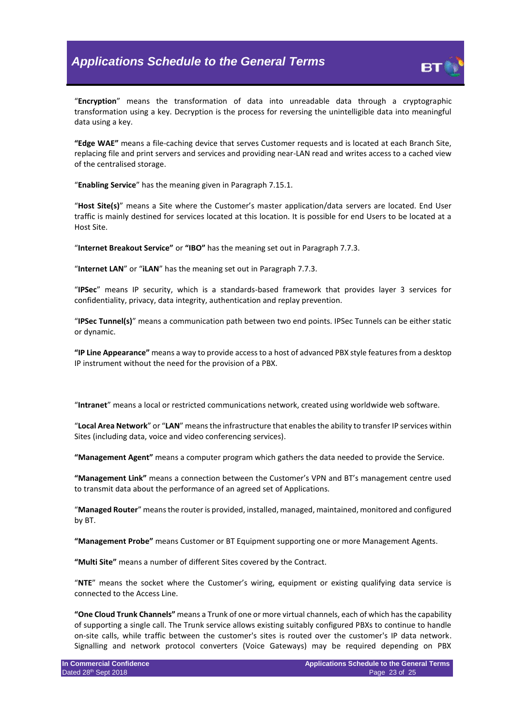

"**Encryption**" means the transformation of data into unreadable data through a cryptographic transformation using a key. Decryption is the process for reversing the unintelligible data into meaningful data using a key.

**"Edge WAE"** means a file-caching device that serves Customer requests and is located at each Branch Site, replacing file and print servers and services and providing near-LAN read and writes access to a cached view of the centralised storage.

"**Enabling Service**" has the meaning given in Paragraph 7.15.1.

"**Host Site(s)**" means a Site where the Customer's master application/data servers are located. End User traffic is mainly destined for services located at this location. It is possible for end Users to be located at a Host Site.

"**Internet Breakout Service"** or **"IBO"** has the meaning set out in Paragraph 7.7.3.

"**Internet LAN**" or "**iLAN**" has the meaning set out in Paragraph 7.7.3.

"**IPSec**" means IP security, which is a standards-based framework that provides layer 3 services for confidentiality, privacy, data integrity, authentication and replay prevention.

"**IPSec Tunnel(s)**" means a communication path between two end points. IPSec Tunnels can be either static or dynamic.

**"IP Line Appearance"** means a way to provide access to a host of advanced PBX style features from a desktop IP instrument without the need for the provision of a PBX.

"**Intranet**" means a local or restricted communications network, created using worldwide web software.

"**Local Area Network**" or "**LAN**" means the infrastructure that enables the ability to transfer IP services within Sites (including data, voice and video conferencing services).

**"Management Agent"** means a computer program which gathers the data needed to provide the Service.

**"Management Link"** means a connection between the Customer's VPN and BT's management centre used to transmit data about the performance of an agreed set of Applications.

"**Managed Router**" means the router is provided, installed, managed, maintained, monitored and configured by BT.

**"Management Probe"** means Customer or BT Equipment supporting one or more Management Agents.

**"Multi Site"** means a number of different Sites covered by the Contract.

"**NTE**" means the socket where the Customer's wiring, equipment or existing qualifying data service is connected to the Access Line.

**"One Cloud Trunk Channels"** means a Trunk of one or more virtual channels, each of which has the capability of supporting a single call. The Trunk service allows existing suitably configured PBXs to continue to handle on-site calls, while traffic between the customer's sites is routed over the customer's IP data network. Signalling and network protocol converters (Voice Gateways) may be required depending on PBX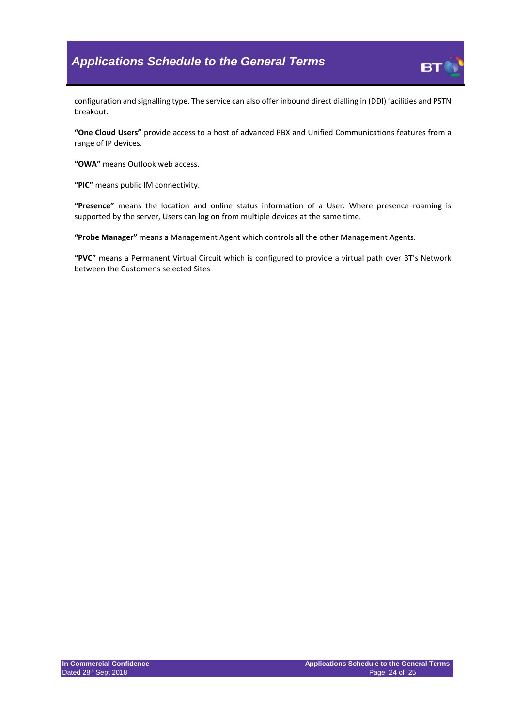

configuration and signalling type. The service can also offer inbound direct dialling in (DDI) facilities and PSTN breakout.

**"One Cloud Users"** provide access to a host of advanced PBX and Unified Communications features from a range of IP devices.

**"OWA"** means Outlook web access.

**"PIC"** means public IM connectivity.

**"Presence"** means the location and online status information of a User. Where presence roaming is supported by the server, Users can log on from multiple devices at the same time.

**"Probe Manager"** means a Management Agent which controls all the other Management Agents.

**"PVC"** means a Permanent Virtual Circuit which is configured to provide a virtual path over BT's Network between the Customer's selected Sites